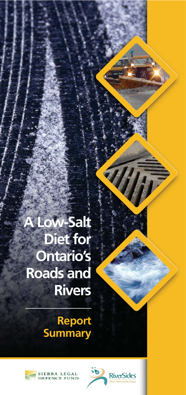# **A Low-Salt Diet for Ontario's Roads and Rivers**

## **Report Summary**



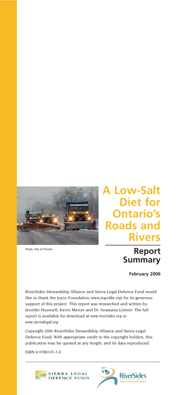

Photo: City of Toronto

## **A Low-Salt Diet for Ontario's Roads and Rivers**

## **Report Summary**

**February 2006**

RiverSides Stewardship Alliance and Sierra Legal Defence Fund would like to thank the Joyce Foundation (*www.joycefdn.org*) for its generous support of this project. This report was researched and written by Jennifer Hounsell, Kevin Mercer and Dr. Anastasia Lintner. The full report is available for download at *www.riversides.org* or *www.sierralegal.org*.

Copyright 2006 RiverSides Stewardship Alliance and Sierra Legal Defence Fund. With appropriate credit to the copyright holders, this publication may be quoted at any length, and its data reproduced.

ISBN 0-9780145-1-0



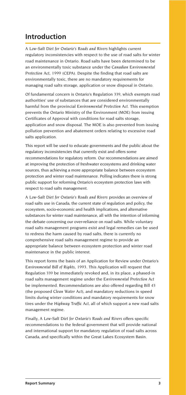### **Introduction**

*A Low-Salt Diet for Ontario's Roads and Rivers* highlights current regulatory inconsistencies with respect to the use of road salts for winter road maintenance in Ontario. Road salts have been determined to be an environmentally toxic substance under the *Canadian Environmental Protection Act, 1999* (CEPA). Despite the finding that road salts are environmentally toxic, there are no mandatory requirements for managing road salts storage, application or snow disposal in Ontario.

Of fundamental concern is Ontario's Regulation 339, which exempts road authorities' use of substances that are considered environmentally harmful from the provincial *Environmental Protection Act.* This exemption prevents the Ontario Ministry of the Environment (MOE) from issuing Certificates of Approval with conditions for road salts storage, application and snow disposal. The MOE is also prevented from issuing pollution prevention and abatement orders relating to excessive road salts application.

This report will be used to educate governments and the public about the regulatory inconsistencies that currently exist and offers some recommendations for regulatory reform. Our recommendations are aimed at improving the protection of freshwater ecosystems and drinking water sources, thus achieving a more appropriate balance between ecosystem protection and winter road maintenance. Polling indicates there is strong public support for reforming Ontario's ecosystem protection laws with respect to road salts management.

*A Low-Salt Diet for Ontario's Roads and Rivers* provides an overview of road salts use in Canada, the current state of regulation and policy, the ecosystem, socio-economic and health implications, and alternative substances for winter road maintenance, all with the intention of informing the debate concerning our over-reliance on road salts. While voluntary road salts management programs exist and legal remedies can be used to redress the harm caused by road salts, there is currently no comprehensive road salts management regime to provide an appropriate balance between ecosystem protection and winter road maintenance in the public interest.

This report forms the basis of an Application for Review under Ontario's *Environmental Bill of Rights, 1993.* This Application will request that Regulation 339 be immediately revoked and, in its place, a phased-in road salts management regime under the *Environmental Protection Act* be implemented. Recommendations are also offered regarding Bill 43 (the proposed *Clean Water Act*), and mandatory reductions in speed limits during winter conditions and mandatory requirements for snow tires under the *Highway Traffic Act*, all of which support a new road salts management regime.

Finally, *A Low-Salt Diet for Ontario's Roads and Rivers* offers specific recommendations to the federal government that will provide national and international support for mandatory regulation of road salts across Canada, and specifically within the Great Lakes Ecosystem Basin.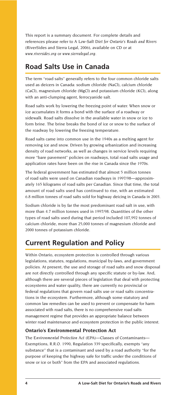This report is a summary document. For complete details and references please refer to *A Low-Salt Diet for Ontario's Roads and Rivers* (RiverSides and Sierra Legal, 2006), available on CD or at *www.riversides.org* or *www.sierralegal.org*.

### **Road Salts Use in Canada**

The term "road salts" generally refers to the four common chloride salts used as deicers in Canada: sodium chloride (NaCl), calcium chloride (CaCl), magnesium chloride (MgCl) and potassium chloride (KCl), along with an anti-clumping agent, ferrocyanide salt.

Road salts work by lowering the freezing point of water. When snow or ice accumulates it forms a bond with the surface of a roadway or sidewalk. Road salts dissolve in the available water in snow or ice to form brine. The brine breaks the bond of ice or snow to the surface of the roadway by lowering the freezing temperature.

Road salts came into common use in the 1940s as a melting agent for removing ice and snow. Driven by growing urbanization and increasing density of road networks, as well as changes in service levels requiring more "bare pavement" policies on roadways, total road salts usage and application rates have been on the rise in Canada since the 1970s.

The federal government has estimated that almost 5 million tonnes of road salts were used on Canadian roadways in 1997/98—approximately 165 kilograms of road salts per Canadian. Since that time, the total amount of road salts used has continued to rise, with an estimated 6.8 million tonnes of road salts sold for highway deicing in Canada in 2003.

Sodium chloride is by far the most predominant road salt in use, with more than 4.7 million tonnes used in 1997/98. Quantities of the other types of road salts used during that period included 107,992 tonnes of calcium chloride, more than 25,000 tonnes of magnesium chloride and 2000 tonnes of potassium chloride.

## **Current Regulation and Policy**

Within Ontario, ecosystem protection is controlled through various legislations, statutes, regulations, municipal by-laws, and government policies. At present, the use and storage of road salts and snow disposal are not directly controlled through any specific statute or by-law. And, although there are several pieces of legislation that deal with protecting ecosystems and water quality, there are currently no provincial or federal regulations that govern road salts use or road salts concentrations in the ecosystem. Furthermore, although some statutory and common law remedies can be used to prevent or compensate for harm associated with road salts, there is no comprehensive road salts management regime that provides an appropriate balance between winter road maintenance and ecosystem protection in the public interest.

#### **Ontario's Environmental Protection Act**

The *Environmental Protection Act* (EPA)—Classes of Contaminants— Exemptions, R.R.O. 1990, Regulation 339 specifically, exempts "any substance" that is a contaminant and used by a road authority "for the purpose of keeping the highway safe for traffic under the conditions of snow or ice or both" from the EPA and associated regulations.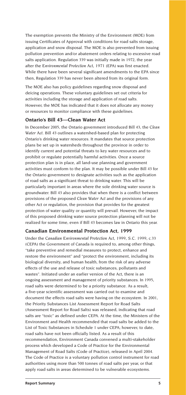The exemption prevents the Ministry of the Environment (MOE) from issuing Certificates of Approval with conditions for road salts storage, application and snow disposal. The MOE is also prevented from issuing pollution prevention and/or abatement orders relating to excessive road salts application. Regulation 339 was initially made in 1972, the year after the *Environmental Protection Act, 1971* (EPA) was first enacted. While there have been several significant amendments to the EPA since then, Regulation 339 has never been altered from its original form.

The MOE also has policy guidelines regarding snow disposal and deicing operations. These voluntary guidelines set out criteria for activities including the storage and application of road salts. However, the MOE has indicated that it does not allocate any money or resources to monitor compliance with these guidelines.

#### **Ontario's Bill 43—Clean Water Act**

In December 2005, the Ontario government introduced Bill 43, the *Clean Water Act.* Bill 43 outlines a watershed-based plan for protecting Ontario's drinking water resources. It mandates that source protection plans be set up in watersheds throughout the province in order to identify current and potential threats to key water resources and to prohibit or regulate potentially harmful activities. Once a source protection plan is in place, all land-use planning and government activities must conform to the plan. It may be possible under Bill 43 for the Ontario government to designate activities such as the application of road salts as a significant threat to drinking water. This will be particularly important in areas where the sole drinking water source is groundwater. Bill 43 also provides that when there is a conflict between provisions of the proposed *Clean Water Act* and the provisions of any other Act or regulation, the provision that provides for the greatest protection of water quality or quantity will prevail. However, the impact of this proposed drinking water source protection planning will not be realized for some time, even if Bill 43 becomes law in Ontario this year.

#### **Canadian Environmental Protection Act, 1999**

Under the *Canadian Environmental Protection Act, 1999, S.C. 1999,* c.33 (CEPA) the Government of Canada is required to, among other things, "take preventive and remedial measures to protect, enhance and restore the environment" and "protect the environment, including its biological diversity, and human health, from the risk of any adverse effects of the use and release of toxic substances, pollutants and wastes". Initiated under an earlier version of the Act, there is an ongoing assessment and management of priority substances. In 1995, road salts were determined to be a priority substance. As a result, a five-year scientific assessment was carried out to examine and document the effects road salts were having on the ecosystem. In 2001, the Priority Substances List Assessment Report for Road Salts (Assessment Report for Road Salts) was released, indicating that road salts are "toxic" as defined under CEPA. At the time, the Ministers of the Environment and Health recommended that road salts be added to the List of Toxic Substances in Schedule 1 under CEPA; however, to date, road salts have not been officially listed. As a result of this recommendation, Environment Canada convened a multi-stakeholder process which developed a Code of Practice for the Environmental Management of Road Salts (Code of Practice), released in April 2004. The Code of Practice is a voluntary pollution control instrument for road authorities using more than 500 tonnes of road salts per year, or that apply road salts in areas determined to be vulnerable ecosystems.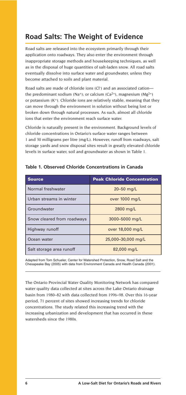## **Road Salts: The Weight of Evidence**

Road salts are released into the ecosystem primarily through their application onto roadways. They also enter the environment through inappropriate storage methods and housekeeping techniques, as well as in the disposal of huge quantities of salt-laden snow. All road salts eventually dissolve into surface water and groundwater, unless they become attached to soils and plant material.

Road salts are made of chloride ions (Cl<sup>-</sup>) and an associated cationthe predominant sodium (Na<sup>+</sup>); or calcium (Ca<sup>2+</sup>), magnesium (Mg<sup>2+</sup>) or potassium  $(K^+)$ . Chloride ions are relatively stable, meaning that they can move through the environment in solution without being lost or broken down through natural processes. As such, almost all chloride ions that enter the environment reach surface water.

Chloride is naturally present in the environment. Background levels of chloride concentrations in Ontario's surface water ranges between 1 and 30 milligrams per litre (mg/L). However, runoff from roadways, salt storage yards and snow disposal sites result in greatly elevated chloride levels in surface water, soil and groundwater as shown in Table 1.

| <b>Source</b>              | <b>Peak Chloride Concentration</b> |
|----------------------------|------------------------------------|
| Normal freshwater          | 20 $-50$ mg/L                      |
| Urban streams in winter    | over 1000 mg/L                     |
| Groundwater                | 2800 mg/L                          |
| Snow cleared from roadways | 3000-5000 mg/L                     |
| Highway runoff             | over 18,000 mg/L                   |
| Ocean water                | 25,000-30,000 mg/L                 |
| Salt storage area runoff   | 82,000 mg/L                        |

#### **Table 1. Observed Chloride Concentrations in Canada**

Adapted from Tom Schueler, Center for Watershed Protection, Snow, Road Salt and the Chesapeake Bay (2005) with data from Environment Canada and Health Canada (2001).

The Ontario Provincial Water Quality Monitoring Network has compared water quality data collected at sites across the Lake Ontario drainage basin from 1980–82 with data collected from 1996–98. Over this 16-year period, 71 percent of sites showed increasing trends for chloride concentrations. The study related this increasing trend with the increasing urbanization and development that has occurred in these watersheds since the 1980s.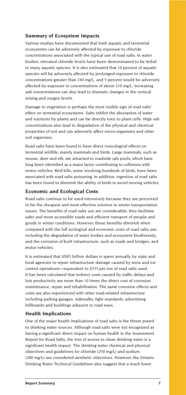#### **Summary of Ecosystem Impacts**

Various studies have documented that both aquatic and terrestrial ecosystems can be adversely affected by exposure to chloride concentrations associated with the typical use of road salts. In water bodies, elevated chloride levels have been demonstrated to be lethal to many aquatic species. It is also estimated that 10 percent of aquatic species will be adversely affected by prolonged exposure to chloride concentrations greater than 240 mg/L, and 5 percent would be adversely affected by exposure to concentrations of about 210 mg/L. Increasing salt concentrations can also lead to dramatic changes in the vertical mixing and oxygen levels.

Damage to vegetation is perhaps the most visible sign of road salts' effect on terrestrial ecosystems. Salts inhibit the absorption of water and nutrients by plants and can be directly toxic to plant cells. High salt concentrations also lead to degradation of the physical and chemical properties of soil and can adversely affect micro-organisms and other soil organisms.

Road salts have been found to have direct toxicological effects on terrestrial wildlife, mainly mammals and birds. Large mammals, such as moose, deer and elk, are attracted to roadside salt pools, which have long been identified as a major factor contributing to collisions with motor vehicles. Bird kills, some involving hundreds of birds, have been associated with road salts poisoning. In addition, ingestion of road salts has been found to diminish the ability of birds to avoid moving vehicles.

#### **Economic and Ecological Costs**

Road salts continue to be used intensively because they are perceived to be the cheapest and most effective solution to winter transportation issues. The benefits of road salts use are considerable; they facilitate safer and more accessible roads and efficient transport of people and goods in winter conditions. However, these benefits diminish when compared with the full ecological and economic costs of road salts use, including the degradation of water bodies and ecosystem biodiversity, and the corrosion of built infrastructure, such as roads and bridges, and motor vehicles.

It is estimated that US\$5 billion dollars is spent annually by state and local agencies to repair infrastructure damage caused by snow and ice control operations—equivalent to \$333 per ton of road salts used. It has been calculated that indirect costs caused by traffic delays and lost productivity are more than 10 times the direct cost of corrosion maintenance, repair and rehabilitation. The same corrosive effects and costs are also experienced with other road-related infrastructure including parking garages, sidewalks, light standards, advertising billboards and buildings adjacent to road ways.

#### **Health Implications**

One of the major health implications of road salts is the threat posed to drinking water sources. Although road salts were not recognized as having a significant direct impact on human health in the Assessment Report for Road Salts, the loss of access to clean drinking water is a significant health impact. The drinking water chemical and physical objectives and guidelines for chloride (250 mg/L) and sodium (200 mg/L) are considered aesthetic objectives. However, the Ontario Drinking Water Technical Guidelines also suggest that a much lower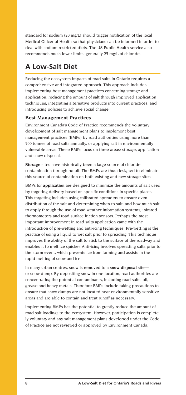standard for sodium (20 mg/L) should trigger notification of the local Medical Officer of Health so that physicians can be informed in order to deal with sodium restricted diets. The US Public Health service also recommends much lower limits, generally 25 mg/L of chloride.

## **A Low-Salt Diet**

Reducing the ecosystem impacts of road salts in Ontario requires a comprehensive and integrated approach. This approach includes implementing best management practices concerning storage and application, reducing the amount of salt through improved application techniques, integrating alternative products into current practices, and introducing policies to achieve social change.

#### **Best Management Practices**

Environment Canada's Code of Practice recommends the voluntary development of salt management plans to implement best management practices (BMPs) by road authorities using more than 500 tonnes of road salts annually, or applying salt in environmentally vulnerable areas. These BMPs focus on three areas: storage, application and snow disposal.

**Storage** sites have historically been a large source of chloride contamination through runoff. The BMPs are thus designed to eliminate this source of contamination on both existing and new storage sites.

BMPs for **application** are designed to minimize the amounts of salt used by targeting delivery based on specific conditions in specific places. This targeting includes using calibrated spreaders to ensure even distribution of the salt and determining when to salt, and how much salt to apply through the use of road weather information systems, infrared thermometers and road surface friction sensors. Perhaps the most important improvement in road salts application came with the introduction of pre-wetting and anti-icing techniques. Pre-wetting is the practice of using a liquid to wet salt prior to spreading. This technique improves the ability of the salt to stick to the surface of the roadway and enables it to melt ice quicker. Anti-icing involves spreading salts prior to the storm event, which prevents ice from forming and assists in the rapid melting of snow and ice.

In many urban centres, snow is removed to a **snow disposal** site or snow dump. By depositing snow in one location, road authorities are concentrating the potential contaminants, including road salts, oil, grease and heavy metals. Therefore BMPs include taking precautions to ensure that snow dumps are not located near environmentally sensitive areas and are able to contain and treat runoff as necessary.

Implementing BMPs has the potential to greatly reduce the amount of road salt loadings to the ecosystem. However, participation is completely voluntary and any salt management plans developed under the Code of Practice are not reviewed or approved by Environment Canada.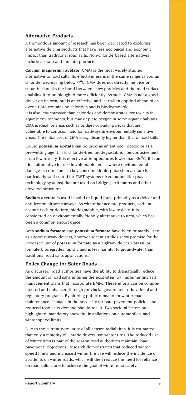#### **Alternative Products**

A tremendous amount of research has been dedicated to exploring alternative deicing products that have less ecological and economic impact than traditional road salts. Non-chloride based alternatives include acetate and formate products.

**Calcium magnesium acetate** (CMA) is the most widely studied alternative to road salts. Its effectiveness is in the same range as sodium chloride, decreasing below -7<sup>o</sup>C. CMA does not directly melt ice or snow, but breaks the bond between snow particles and the road surface enabling it to be ploughed more efficiently. As such, CMA is not a good deicer on its own, but is an effective anti-icer when applied ahead of an event. CMA contains no chlorides and is biodegradable. It is also less corrosive than chlorides and demonstrates low toxicity in aquatic environments, but may deplete oxygen in some aquatic habitats. CMA is ideal for areas such as bridges or parking decks that are vulnerable to corrosion, and for roadways in environmentally sensitive areas. The initial cost of CMA is significantly higher than that of road salts.

Liquid **potassium acetate** can be used as an anti-icer, deicer, or as a pre-wetting agent. It is chloride-free, biodegradable, non-corrosive and has a low toxicity. It is effective at temperatures lower than -26 $^{\circ}$ C. It is an ideal alternative for use in vulnerable areas, where environmental damage or corrosion is a key concern. Liquid potassium acetate is particularly well-suited for FAST-systems (fixed automatic spray technology systems) that are used on bridges, exit ramps and other elevated structures.

**Sodium acetate** is used in solid or liquid form, primarily as a deicer and anti-icer on airport runways. As with other acetate products, sodium acetate is chloride-free, biodegradable, with low toxicity. It is considered an environmentally friendly alternative to urea, which has been a common airport deicer.

Both **sodium formate** and **potassium formate** have been primarily used as airport runway deicers, however, recent studies show promise for the increased use of potassium formate as a highway deicer. Potassium formate biodegrades rapidly and is less harmful to groundwater than traditional road salts applications.

#### **Policy Change for Safer Roads**

As discussed, road authorities have the ability to dramatically reduce the amount of road salts entering the ecosystem by implementing salt management plans that incorporate BMPs. These efforts can be complemented and enhanced through provincial government educational and regulatory programs. By altering public demand for winter road maintenance, changes in the necessity for bare pavement policies and reduced road salts demand should result. Two societal factors are highlighted: mandatory snow tire installations on automobiles, and winter speed limits.

Due to the current popularity of all-season radial tires, it is estimated that only a minority of Ontario drivers use winter tires. The reduced use of winter tires is part of the reason road authorities maintain "bare pavement" objectives. Research demonstrates that reduced winter speed limits and increased winter tire use will reduce the incidence of accidents on winter roads, which will then reduce the need for reliance on road salts alone to achieve the goal of winter road safety.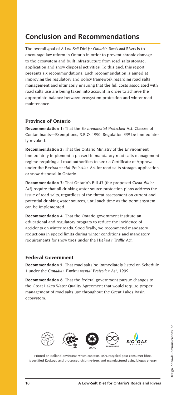## **Conclusion and Recommendations**

The overall goal of *A Low-Salt Diet for Ontario's Roads and Rivers* is to encourage law reform in Ontario in order to prevent chronic damage to the ecosystem and built infrastructure from road salts storage, application and snow disposal activities. To this end, this report presents six recommendations. Each recommendation is aimed at improving the regulatory and policy framework regarding road salts management and ultimately ensuring that the full costs associated with road salts use are being taken into account in order to achieve the appropriate balance between ecosystem protection and winter road maintenance.

#### **Province of Ontario**

**Recommendation 1:** That the *Environmental Protection Act*, Classes of Contaminants—Exemptions, R.R.O. 1990, Regulation 339 be immediately revoked.

**Recommendation 2:** That the Ontario Ministry of the Environment immediately implement a phased-in mandatory road salts management regime requiring all road authorities to seek a Certificate of Approval under the *Environmental Protection Act* for road salts storage, application or snow disposal in Ontario.

**Recommendation 3:** That Ontario's Bill 43 (the proposed *Clean Water Act*) require that all drinking water source protection plans address the issue of road salts, regardless of the threat assessment on current and potential drinking water sources, until such time as the permit system can be implemented.

**Recommendation 4:** That the Ontario government institute an educational and regulatory program to reduce the incidence of accidents on winter roads. Specifically, we recommend mandatory reductions in speed limits during winter conditions and mandatory requirements for snow tires under the *Highway Traffic Act*.

#### **Federal Government**

**Recommendation 5:** That road salts be immediately listed on Schedule 1 under the *Canadian Environmental Protection Act, 1999.*

**Recommendation 6:** That the federal government pursue changes to the Great Lakes Water Quality Agreement that would require proper management of road salts use throughout the Great Lakes Basin ecosystem.



Printed on Rolland Enviro100, which contains 100% recycled post-consumer fibre, is certified EcoLogo and processed chlorine-free, and manufactured using biogas energy.